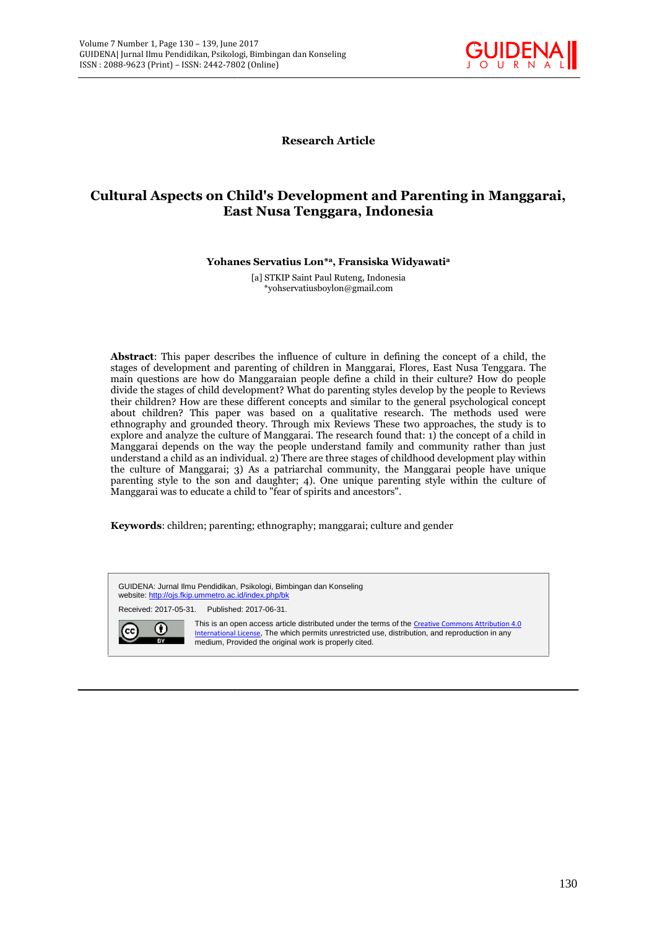

**Research Article**

# Cultural Aspects on Child's Development and Parenting in Manggarai,<br>East Nusa Tenggara, Indonesia **East Nusa Tenggara, Indonesia**

**Yohanes Servatius Lon\* <sup>a</sup>, Fransiska Widyawati<sup>a</sup> Yohanes Servatius a,,**

[a] STKIP Saint Paul Ruteng, Indonesia \*yohservatiusboylon@gmail.com

**Abstract**: This paper describes the influence of culture in defining the concept of a child, the stages of development and parenting of children in Manggarai, Flores, East Nusa Tenggara. The Manggarai, main questions are how do Manggaraian people define a child in their culture? How do people divide the stages of child development? What do parenting styles develop by the people to Reviews their children? How are these different concepts and similar to the general psychological concept about children? This paper was based on a qualitative research. The methods used were ethnography and grounded theory. Through mix Reviews These two approaches, the study is to explore and analyze the culture of Manggarai. The research found that: 1) the concept of a child in Manggarai depends on the way the people understand family and community rather than just understand a child as an individual. 2) There are three stages of childhood development play within the culture of Manggarai; 3) As a patriarchal community, the Manggarai people have unique parenting style to the son and daughter; 4). One unique parenting style within the culture of Manggarai was to educate a child to "fear of spirits and ancestors".<br>Keywords: children; parenting; ethnography; manggarai; cult Manggarai was to educate a child to "fear of spirits and ancestors". n questions are how do Manggaraian people define a child in their culture? How do people de the stages of child development? What do parenting styles develop by the people to Reviews children? How are these different conce Rumine 1.7ae 138 - 139, Jurnal 2017<br>
Jurnal then reside that Pinology, Remoting dan Kosseling<br>
1.8002 (Prere) - 1550; 2442-7802 (Online)<br> **Research Article**<br> **Research Article**<br> **Research Article**<br> **Research Article**<br> **Re** SSN: 2442-7802 (Online)<br>
SSN: 2442-7802 (Online)<br> **Rest Nusa T**<br> **Rest Nusa T**<br>
Yohanes Servatius<br>
[a] STKIP Sai<br>
\*yohserva<br>
\*yohserva<br>
\*yohserva<br>
for the member of child development? What<br>
How are these different con<br>
Thi

**Keywords**: children; parenting; ethnography; manggarai; culture and gender

GUIDENA: Jurnal Ilmu Pendidikan, Psikologi, Bimbingan dan Konseling website: http://ojs.fkip.ummetro.ac.id/index.php/bk Received: 2017-05-31. Published: 2017-06-31. GUIDENA: Jurnal Ilmu Pendidikan, Psikologi, Bimbingan dan Konseling<br>website: <u>http://ojs.fkip.ummetro.ac.id/index.php/bk</u><br>Received: 2017-05-31. Published: 2017-06-31.<br>This is an open access article distributed under the te International License, The which permits unrestricted use, distribution, and reproduction in any medium, Provided the original work is properly cited.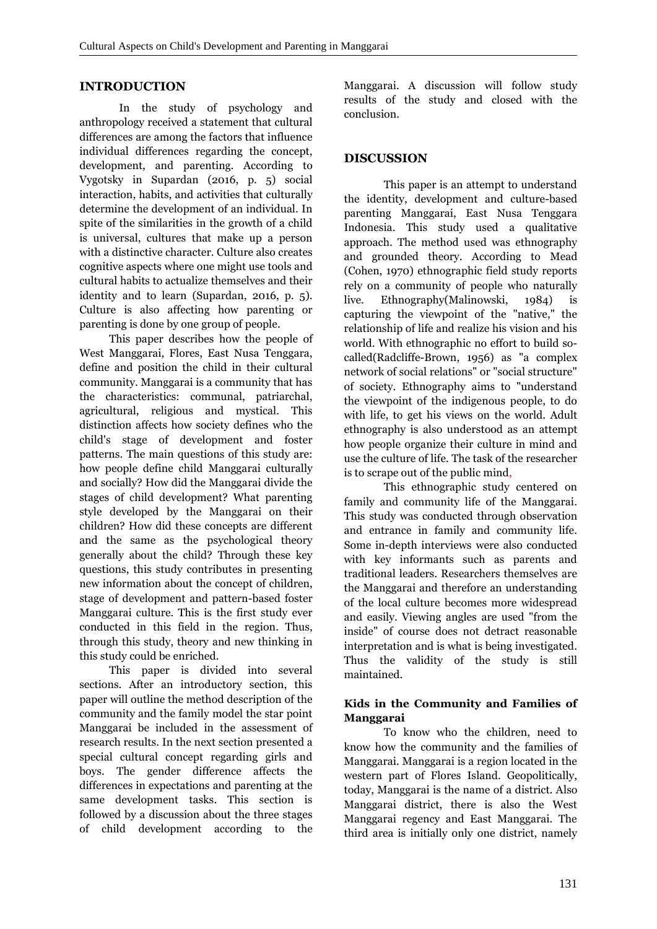#### **INTRODUCTION**

In the study of psychology and anthropology received a statement that cultural differences are among the factors that influence individual differences regarding the concept, development, and parenting. According to Vygotsky in Supardan (2016, p. 5) social interaction, habits, and activities that culturally determine the development of an individual. In spite of the similarities in the growth of a child is universal, cultures that make up a person with a distinctive character. Culture also creates cognitive aspects where one might use tools and cultural habits to actualize themselves and their identity and to learn (Supardan, 2016, p. 5). Culture is also affecting how parenting or parenting is done by one group of people.

This paper describes how the people of West Manggarai, Flores, East Nusa Tenggara, define and position the child in their cultural community. Manggarai is a community that has the characteristics: communal, patriarchal, agricultural, religious and mystical. This distinction affects how society defines who the child's stage of development and foster patterns. The main questions of this study are: how people define child Manggarai culturally and socially? How did the Manggarai divide the stages of child development? What parenting style developed by the Manggarai on their children? How did these concepts are different and the same as the psychological theory generally about the child? Through these key questions, this study contributes in presenting new information about the concept of children, stage of development and pattern-based foster Manggarai culture. This is the first study ever conducted in this field in the region. Thus, through this study, theory and new thinking in this study could be enriched.

This paper is divided into several sections. After an introductory section, this paper will outline the method description of the community and the family model the star point Manggarai be included in the assessment of research results. In the next section presented a special cultural concept regarding girls and boys. The gender difference affects the differences in expectations and parenting at the same development tasks. This section is followed by a discussion about the three stages of child development according to the Manggarai. A discussion will follow study results of the study and closed with the conclusion.

## **DISCUSSION**

This paper is an attempt to understand the identity, development and culture-based parenting Manggarai, East Nusa Tenggara Indonesia. This study used a qualitative approach. The method used was ethnography and grounded theory. According to Mead (Cohen, 1970) ethnographic field study reports rely on a community of people who naturally live. Ethnography(Malinowski, 1984) is capturing the viewpoint of the "native," the relationship of life and realize his vision and his world. With ethnographic no effort to build so called(Radcliffe-Brown, 1956) as "a complex network of social relations" or "social structure" of society. Ethnography aims to "understand the viewpoint of the indigenous people, to do with life, to get his views on the world. Adult ethnography is also understood as an attempt how people organize their culture in mind and use the culture of life. The task of the researcher is to scrape out of the public mind,

This ethnographic study centered on family and community life of the Manggarai. This study was conducted through observation and entrance in family and community life. Some in-depth interviews were also conducted with key informants such as parents and traditional leaders. Researchers themselves are the Manggarai and therefore an understanding of the local culture becomes more widespread and easily. Viewing angles are used "from the inside" of course does not detract reasonable interpretation and is what is being investigated. Thus the validity of the study is still maintained.

### **Kids in the Community and Families of Manggarai**

To know who the children, need to know how the community and the families of Manggarai. Manggarai is a region located in the western part of Flores Island. Geopolitically, today, Manggarai is the name of a district. Also Manggarai district, there is also the West Manggarai regency and East Manggarai. The third area is initially only one district, namely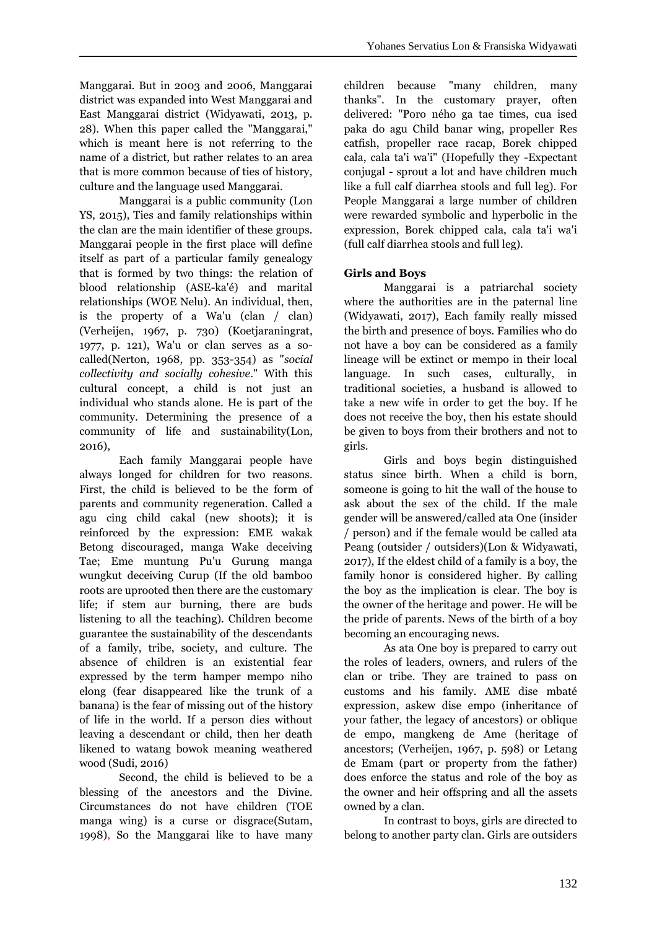Manggarai. But in 2003 and 2006, Manggarai district was expanded into West Manggarai and East Manggarai district (Widyawati, 2013, p. 28). When this paper called the "Manggarai," which is meant here is not referring to the name of a district, but rather relates to an area that is more common because of ties of history, culture and the language used Manggarai.

Manggarai is a public community (Lon YS, 2015), Ties and family relationships within the clan are the main identifier of these groups. Manggarai people in the first place will define itself as part of a particular family genealogy that is formed by two things: the relation of blood relationship (ASE-ka'é) and marital relationships (WOE Nelu). An individual, then, is the property of a Wa'u (clan / clan) (Verheijen, 1967, p. 730) (Koetjaraningrat, 1977, p. 121), Wa'u or clan serves as a so called(Nerton, 1968, pp. 353-354) as "*social collectivity and socially cohesive*." With this cultural concept, a child is not just an individual who stands alone. He is part of the community. Determining the presence of a community of life and sustainability(Lon, 2016),

Each family Manggarai people have always longed for children for two reasons. First, the child is believed to be the form of parents and community regeneration. Called a agu cing child cakal (new shoots); it is reinforced by the expression: EME wakak Betong discouraged, manga Wake deceiving Tae; Eme muntung Pu'u Gurung manga wungkut deceiving Curup (If the old bamboo roots are uprooted then there are the customary life; if stem aur burning, there are buds listening to all the teaching). Children become guarantee the sustainability of the descendants of a family, tribe, society, and culture. The absence of children is an existential fear expressed by the term hamper mempo niho elong (fear disappeared like the trunk of a banana) is the fear of missing out of the history of life in the world. If a person dies without leaving a descendant or child, then her death likened to watang bowok meaning weathered wood (Sudi, 2016)

Second, the child is believed to be a blessing of the ancestors and the Divine. Circumstances do not have children (TOE manga wing) is a curse or disgrace(Sutam, 1998), So the Manggarai like to have many children because "many children, many thanks". In the customary prayer, often delivered: "Poro ného ga tae times, cua ised paka do agu Child banar wing, propeller Res catfish, propeller race racap, Borek chipped cala, cala ta'i wa'i" (Hopefully they -Expectant conjugal - sprout a lot and have children much like a full calf diarrhea stools and full leg). For People Manggarai a large number of children were rewarded symbolic and hyperbolic in the expression, Borek chipped cala, cala ta'i wa'i (full calf diarrhea stools and full leg).

### **Girls and Boys**

Manggarai is a patriarchal society where the authorities are in the paternal line (Widyawati, 2017), Each family really missed the birth and presence of boys. Families who do not have a boy can be considered as a family lineage will be extinct or mempo in their local language. In such cases, culturally, in traditional societies, a husband is allowed to take a new wife in order to get the boy. If he does not receive the boy, then his estate should be given to boys from their brothers and not to girls.

Girls and boys begin distinguished status since birth. When a child is born, someone is going to hit the wall of the house to ask about the sex of the child. If the male gender will be answered/called ata One (insider / person) and if the female would be called ata Peang (outsider / outsiders)(Lon & Widyawati, 2017), If the eldest child of a family is a boy, the family honor is considered higher. By calling the boy as the implication is clear. The boy is the owner of the heritage and power. He will be the pride of parents. News of the birth of a boy becoming an encouraging news.

As ata One boy is prepared to carry out the roles of leaders, owners, and rulers of the clan or tribe. They are trained to pass on customs and his family. AME dise mbaté expression, askew dise empo (inheritance of your father, the legacy of ancestors) or oblique de empo, mangkeng de Ame (heritage of ancestors; (Verheijen, 1967, p. 598) or Letang de Emam (part or property from the father) does enforce the status and role of the boy as the owner and heir offspring and all the assets owned by a clan.

In contrast to boys, girls are directed to belong to another party clan. Girls are outsiders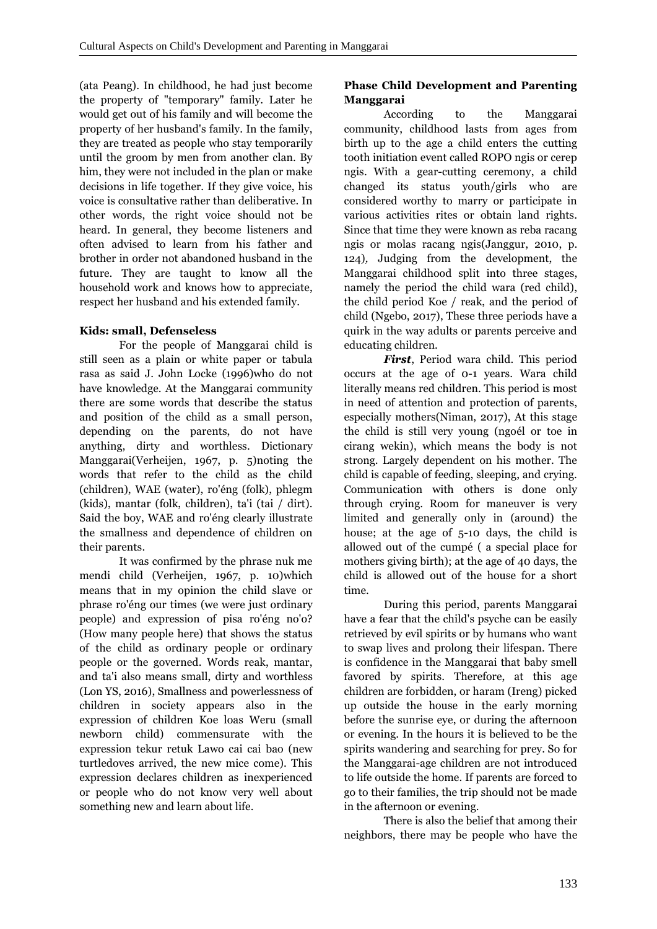(ata Peang). In childhood, he had just become the property of "temporary" family. Later he would get out of his family and will become the property of her husband's family. In the family, they are treated as people who stay temporarily until the groom by men from another clan. By him, they were not included in the plan or make decisions in life together. If they give voice, his voice is consultative rather than deliberative. In other words, the right voice should not be heard. In general, they become listeners and often advised to learn from his father and brother in order not abandoned husband in the future. They are taught to know all the household work and knows how to appreciate, respect her husband and his extended family.

#### **Kids: small, Defenseless**

For the people of Manggarai child is still seen as a plain or white paper or tabula rasa as said J. John Locke (1996)who do not have knowledge. At the Manggarai community there are some words that describe the status and position of the child as a small person, depending on the parents, do not have anything, dirty and worthless. Dictionary Manggarai(Verheijen, 1967, p. 5)noting the words that refer to the child as the child (children), WAE (water), ro'éng (folk), phlegm (kids), mantar (folk, children), ta'i (tai / dirt). Said the boy, WAE and ro'éng clearly illustrate the smallness and dependence of children on their parents.

It was confirmed by the phrase nuk me mendi child (Verheijen, 1967, p. 10)which means that in my opinion the child slave or phrase ro'éng our times (we were just ordinary people) and expression of pisa ro'éng no'o? (How many people here) that shows the status of the child as ordinary people or ordinary people or the governed. Words reak, mantar, and ta'i also means small, dirty and worthless (Lon YS, 2016), Smallness and powerlessness of children in society appears also in the expression of children Koe loas Weru (small newborn child) commensurate with the expression tekur retuk Lawo cai cai bao (new turtledoves arrived, the new mice come). This expression declares children as inexperienced or people who do not know very well about something new and learn about life.

## **Phase Child Development and Parenting Manggarai**

According to the Manggarai community, childhood lasts from ages from birth up to the age a child enters the cutting tooth initiation event called ROPO ngis or cerep ngis. With a gear-cutting ceremony, a child changed its status youth/girls who are considered worthy to marry or participate in various activities rites or obtain land rights. Since that time they were known as reba racang ngis or molas racang ngis(Janggur, 2010, p. 124)*,* Judging from the development, the Manggarai childhood split into three stages, namely the period the child wara (red child), the child period Koe / reak, and the period of child (Ngebo, 2017), These three periods have a quirk in the way adults or parents perceive and educating children.

*First*, Period wara child. This period occurs at the age of 0-1 years. Wara child literally means red children. This period is most in need of attention and protection of parents, especially mothers(Niman, 2017), At this stage the child is still very young (ngoél or toe in cirang wekin), which means the body is not strong. Largely dependent on his mother. The child is capable of feeding, sleeping, and crying. Communication with others is done only through crying. Room for maneuver is very limited and generally only in (around) the house; at the age of 5-10 days, the child is allowed out of the cumpé ( a special place for mothers giving birth); at the age of 40 days, the child is allowed out of the house for a short time.

During this period, parents Manggarai have a fear that the child's psyche can be easily retrieved by evil spirits or by humans who want to swap lives and prolong their lifespan. There is confidence in the Manggarai that baby smell favored by spirits. Therefore, at this age children are forbidden, or haram (Ireng) picked up outside the house in the early morning before the sunrise eye, or during the afternoon or evening. In the hours it is believed to be the spirits wandering and searching for prey. So for the Manggarai-age children are not introduced to life outside the home. If parents are forced to go to their families, the trip should not be made in the afternoon or evening.

There is also the belief that among their neighbors, there may be people who have the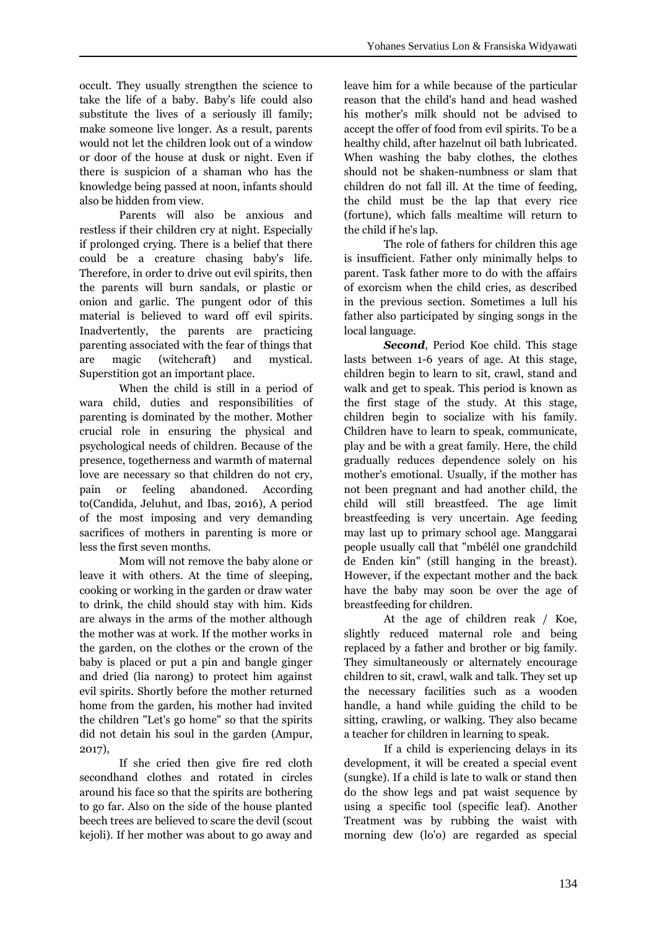occult. They usually strengthen the science to take the life of a baby. Baby's life could also substitute the lives of a seriously ill family; make someone live longer. As a result, parents would not let the children look out of a window or door of the house at dusk or night. Even if there is suspicion of a shaman who has the knowledge being passed at noon, infants should also be hidden from view.

Parents will also be anxious and restless if their children cry at night. Especially if prolonged crying. There is a belief that there could be a creature chasing baby's life. Therefore, in order to drive out evil spirits, then the parents will burn sandals, or plastic or onion and garlic. The pungent odor of this material is believed to ward off evil spirits. Inadvertently, the parents are practicing parenting associated with the fear of things that are magic (witchcraft) and mystical. Superstition got an important place.

When the child is still in a period of wara child, duties and responsibilities of parenting is dominated by the mother. Mother crucial role in ensuring the physical and psychological needs of children. Because of the presence, togetherness and warmth of maternal love are necessary so that children do not cry, pain or feeling abandoned. According to(Candida, Jeluhut, and Ibas, 2016), A period of the most imposing and very demanding sacrifices of mothers in parenting is more or less the first seven months.

Mom will not remove the baby alone or leave it with others. At the time of sleeping, cooking or working in the garden or draw water to drink, the child should stay with him. Kids are always in the arms of the mother although the mother was at work. If the mother works in the garden, on the clothes or the crown of the baby is placed or put a pin and bangle ginger and dried (lia narong) to protect him against evil spirits. Shortly before the mother returned home from the garden, his mother had invited the children "Let's go home" so that the spirits did not detain his soul in the garden (Ampur, 2017),

If she cried then give fire red cloth secondhand clothes and rotated in circles around his face so that the spirits are bothering to go far. Also on the side of the house planted beech trees are believed to scare the devil (scout kejoli). If her mother was about to go away and leave him for a while because of the particular reason that the child's hand and head washed his mother's milk should not be advised to accept the offer of food from evil spirits. To be a healthy child, after hazelnut oil bath lubricated. When washing the baby clothes, the clothes should not be shaken-numbness or slam that children do not fall ill. At the time of feeding, the child must be the lap that every rice (fortune), which falls mealtime will return to the child if he's lap.

The role of fathers for children this age is insufficient. Father only minimally helps to parent. Task father more to do with the affairs of exorcism when the child cries, as described in the previous section. Sometimes a lull his father also participated by singing songs in the local language.

*Second*, Period Koe child. This stage lasts between 1-6 years of age. At this stage, children begin to learn to sit, crawl, stand and walk and get to speak. This period is known as the first stage of the study. At this stage, children begin to socialize with his family. Children have to learn to speak, communicate, play and be with a great family. Here, the child gradually reduces dependence solely on his mother's emotional. Usually, if the mother has not been pregnant and had another child, the child will still breastfeed. The age limit breastfeeding is very uncertain. Age feeding may last up to primary school age. Manggarai people usually call that "mbélél one grandchild de Enden kin" (still hanging in the breast). However, if the expectant mother and the back have the baby may soon be over the age of breastfeeding for children.

At the age of children reak / Koe, slightly reduced maternal role and being replaced by a father and brother or big family. They simultaneously or alternately encourage children to sit, crawl, walk and talk. They set up the necessary facilities such as a wooden handle, a hand while guiding the child to be sitting, crawling, or walking. They also became a teacher for children in learning to speak.

If a child is experiencing delays in its development, it will be created a special event (sungke). If a child is late to walk or stand then do the show legs and pat waist sequence by using a specific tool (specific leaf). Another Treatment was by rubbing the waist with morning dew (lo'o) are regarded as special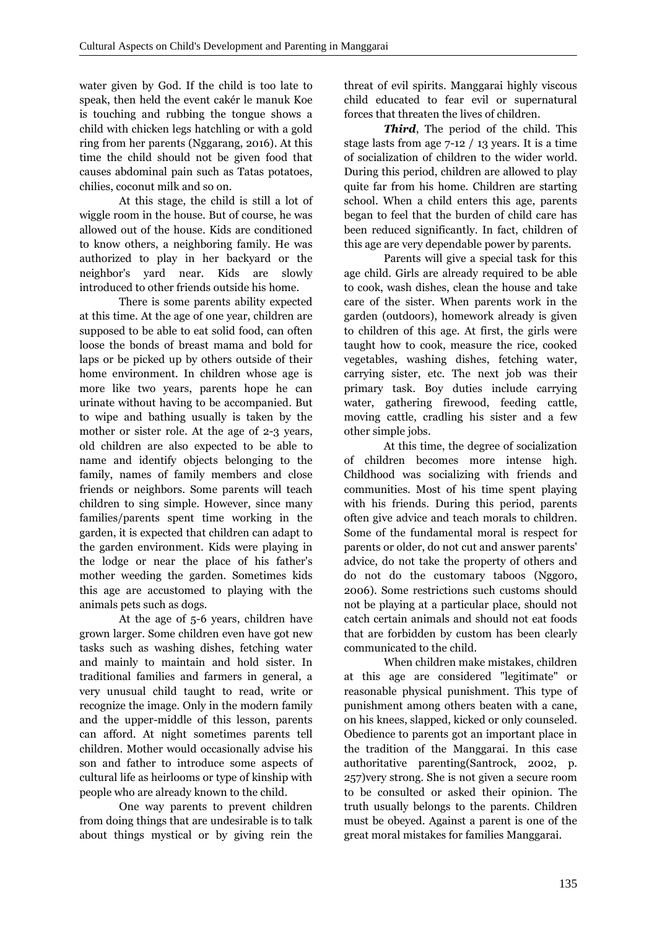water given by God. If the child is too late to speak, then held the event cakér le manuk Koe is touching and rubbing the tongue shows a child with chicken legs hatchling or with a gold ring from her parents (Nggarang, 2016). At this time the child should not be given food that causes abdominal pain such as Tatas potatoes, chilies, coconut milk and so on.

At this stage, the child is still a lot of wiggle room in the house. But of course, he was allowed out of the house. Kids are conditioned to know others, a neighboring family. He was authorized to play in her backyard or the neighbor's yard near. Kids are slowly introduced to other friends outside his home.

There is some parents ability expected at this time. At the age of one year, children are supposed to be able to eat solid food, can often loose the bonds of breast mama and bold for laps or be picked up by others outside of their home environment. In children whose age is more like two years, parents hope he can urinate without having to be accompanied. But to wipe and bathing usually is taken by the mother or sister role. At the age of 2-3 years, old children are also expected to be able to name and identify objects belonging to the family, names of family members and close friends or neighbors. Some parents will teach children to sing simple. However, since many families/parents spent time working in the garden, it is expected that children can adapt to the garden environment. Kids were playing in the lodge or near the place of his father's mother weeding the garden. Sometimes kids this age are accustomed to playing with the animals pets such as dogs.

At the age of 5-6 years, children have grown larger. Some children even have got new tasks such as washing dishes, fetching water and mainly to maintain and hold sister. In traditional families and farmers in general, a very unusual child taught to read, write or recognize the image. Only in the modern family and the upper-middle of this lesson, parents can afford. At night sometimes parents tell children. Mother would occasionally advise his son and father to introduce some aspects of cultural life as heirlooms or type of kinship with people who are already known to the child.

One way parents to prevent children from doing things that are undesirable is to talk about things mystical or by giving rein the threat of evil spirits. Manggarai highly viscous child educated to fear evil or supernatural forces that threaten the lives of children.

*Third*, The period of the child. This stage lasts from age 7-12 / 13 years. It is a time of socialization of children to the wider world. During this period, children are allowed to play quite far from his home. Children are starting school. When a child enters this age, parents began to feel that the burden of child care has been reduced significantly. In fact, children of this age are very dependable power by parents.

Parents will give a special task for this age child. Girls are already required to be able to cook, wash dishes, clean the house and take care of the sister. When parents work in the garden (outdoors), homework already is given to children of this age. At first, the girls were taught how to cook, measure the rice, cooked vegetables, washing dishes, fetching water, carrying sister, etc. The next job was their primary task. Boy duties include carrying water, gathering firewood, feeding cattle, moving cattle, cradling his sister and a few other simple jobs.

At this time, the degree of socialization of children becomes more intense high. Childhood was socializing with friends and communities. Most of his time spent playing with his friends. During this period, parents often give advice and teach morals to children. Some of the fundamental moral is respect for parents or older, do not cut and answer parents' advice, do not take the property of others and do not do the customary taboos (Nggoro, 2006). Some restrictions such customs should not be playing at a particular place, should not catch certain animals and should not eat foods that are forbidden by custom has been clearly communicated to the child.

When children make mistakes, children at this age are considered "legitimate" or reasonable physical punishment. This type of punishment among others beaten with a cane, on his knees, slapped, kicked or only counseled. Obedience to parents got an important place in the tradition of the Manggarai. In this case authoritative parenting(Santrock, 2002, p. 257)very strong. She is not given a secure room to be consulted or asked their opinion. The truth usually belongs to the parents. Children must be obeyed. Against a parent is one of the great moral mistakes for families Manggarai.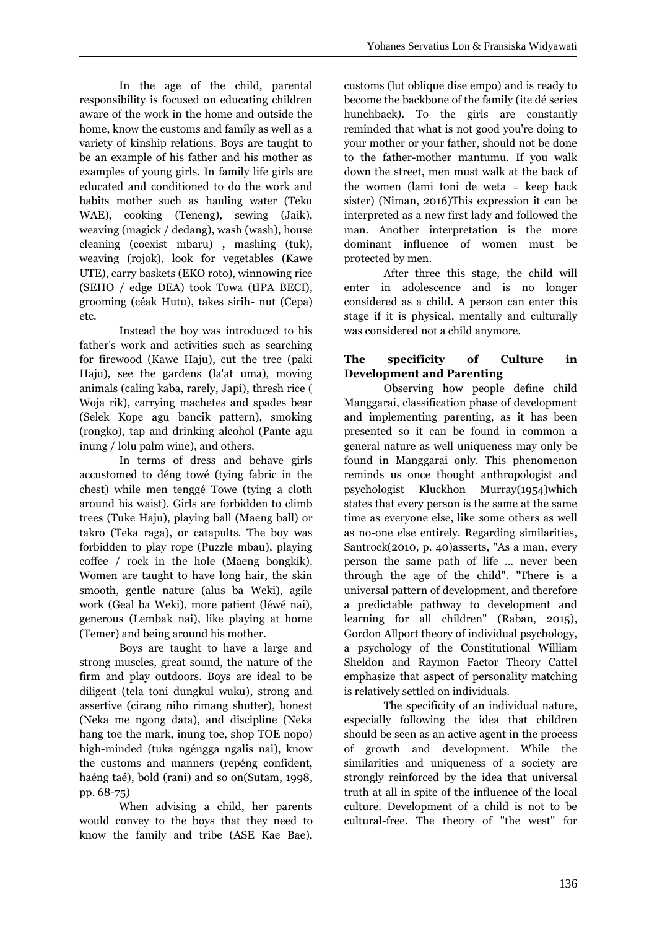In the age of the child, parental responsibility is focused on educating children aware of the work in the home and outside the home, know the customs and family as well as a variety of kinship relations. Boys are taught to be an example of his father and his mother as examples of young girls. In family life girls are educated and conditioned to do the work and habits mother such as hauling water (Teku WAE), cooking (Teneng), sewing (Jaik), weaving (magick / dedang), wash (wash), house cleaning (coexist mbaru) , mashing (tuk), weaving (rojok), look for vegetables (Kawe UTE), carry baskets (EKO roto), winnowing rice (SEHO / edge DEA) took Towa (tIPA BECI), grooming (céak Hutu), takes sirih- nut (Cepa) etc.

Instead the boy was introduced to his father's work and activities such as searching for firewood (Kawe Haju), cut the tree (paki Haju), see the gardens (la'at uma), moving animals (caling kaba, rarely, Japi), thresh rice ( Woja rik), carrying machetes and spades bear (Selek Kope agu bancik pattern), smoking (rongko), tap and drinking alcohol (Pante agu inung / lolu palm wine), and others.

In terms of dress and behave girls accustomed to déng towé (tying fabric in the chest) while men tenggé Towe (tying a cloth around his waist). Girls are forbidden to climb trees (Tuke Haju), playing ball (Maeng ball) or takro (Teka raga), or catapults. The boy was forbidden to play rope (Puzzle mbau), playing coffee / rock in the hole (Maeng bongkik). Women are taught to have long hair, the skin smooth, gentle nature (alus ba Weki), agile work (Geal ba Weki), more patient (léwé nai), generous (Lembak nai), like playing at home (Temer) and being around his mother.

Boys are taught to have a large and strong muscles, great sound, the nature of the firm and play outdoors. Boys are ideal to be diligent (tela toni dungkul wuku), strong and assertive (cirang niho rimang shutter), honest (Neka me ngong data), and discipline (Neka hang toe the mark, inung toe, shop TOE nopo) high-minded (tuka ngéngga ngalis nai), know the customs and manners (repéng confident, haéng taé), bold (rani) and so on(Sutam, 1998, pp. 68-75)

When advising a child, her parents would convey to the boys that they need to know the family and tribe (ASE Kae Bae), customs (lut oblique dise empo) and is ready to become the backbone of the family (ite dé series hunchback). To the girls are constantly reminded that what is not good you're doing to your mother or your father, should not be done to the father-mother mantumu. If you walk down the street, men must walk at the back of the women (lami toni de weta = keep back sister) (Niman, 2016)This expression it can be interpreted as a new first lady and followed the man. Another interpretation is the more dominant influence of women must be protected by men.

After three this stage, the child will enter in adolescence and is no longer considered as a child. A person can enter this stage if it is physical, mentally and culturally was considered not a child anymore.

# **The specificity of Culture in Development and Parenting**

Observing how people define child Manggarai, classification phase of development and implementing parenting, as it has been presented so it can be found in common a general nature as well uniqueness may only be found in Manggarai only. This phenomenon reminds us once thought anthropologist and psychologist Kluckhon Murray(1954)which states that every person is the same at the same time as everyone else, like some others as well as no-one else entirely. Regarding similarities, Santrock(2010, p. 40)asserts, "As a man, every person the same path of life ... never been through the age of the child". "There is a universal pattern of development, and therefore a predictable pathway to development and learning for all children" (Raban, 2015), Gordon Allport theory of individual psychology, a psychology of the Constitutional William Sheldon and Raymon Factor Theory Cattel emphasize that aspect of personality matching is relatively settled on individuals.

The specificity of an individual nature, especially following the idea that children should be seen as an active agent in the process of growth and development. While the similarities and uniqueness of a society are strongly reinforced by the idea that universal truth at all in spite of the influence of the local culture. Development of a child is not to be cultural-free. The theory of "the west" for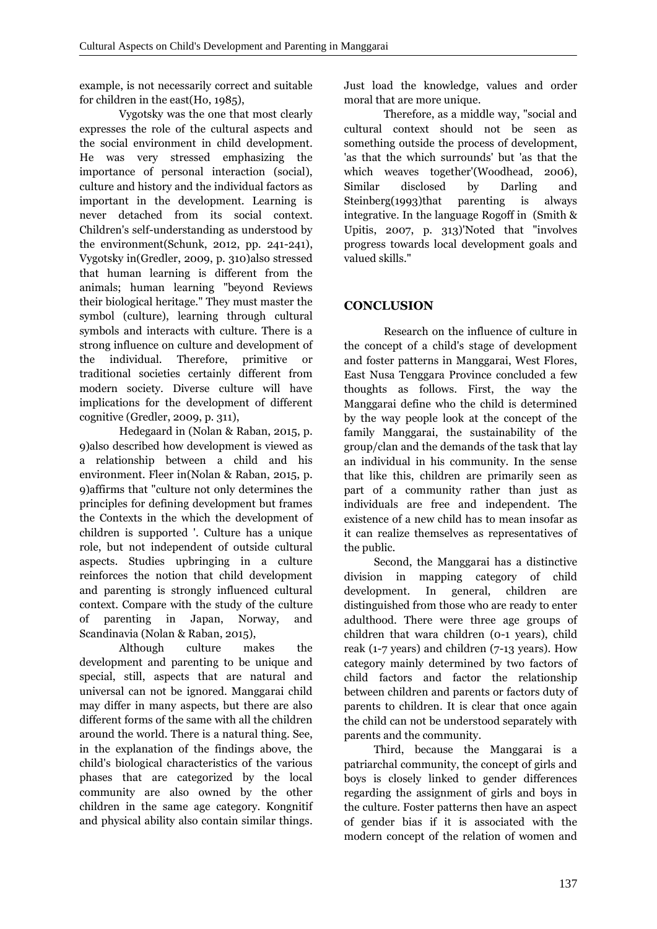example, is not necessarily correct and suitable for children in the east(Ho, 1985),

Vygotsky was the one that most clearly expresses the role of the cultural aspects and the social environment in child development. He was very stressed emphasizing the importance of personal interaction (social), culture and history and the individual factors as important in the development. Learning is never detached from its social context. Children's self-understanding as understood by the environment(Schunk, 2012, pp. 241-241), Vygotsky in(Gredler, 2009, p. 310)also stressed that human learning is different from the animals; human learning "beyond Reviews their biological heritage." They must master the symbol (culture), learning through cultural symbols and interacts with culture. There is a strong influence on culture and development of the individual. Therefore, primitive or traditional societies certainly different from modern society. Diverse culture will have implications for the development of different cognitive (Gredler, 2009, p. 311),

Hedegaard in (Nolan & Raban, 2015, p. 9)also described how development is viewed as a relationship between a child and his environment. Fleer in(Nolan & Raban, 2015, p. 9)affirms that "culture not only determines the principles for defining development but frames the Contexts in the which the development of children is supported '. Culture has a unique role, but not independent of outside cultural aspects. Studies upbringing in a culture reinforces the notion that child development and parenting is strongly influenced cultural context. Compare with the study of the culture of parenting in Japan, Norway, and Scandinavia (Nolan & Raban, 2015),

Although culture makes the development and parenting to be unique and special, still, aspects that are natural and universal can not be ignored. Manggarai child may differ in many aspects, but there are also different forms of the same with all the children around the world. There is a natural thing. See, in the explanation of the findings above, the child's biological characteristics of the various phases that are categorized by the local community are also owned by the other children in the same age category. Kongnitif and physical ability also contain similar things.

Just load the knowledge, values and order moral that are more unique.

Therefore, as a middle way, "social and cultural context should not be seen as something outside the process of development, 'as that the which surrounds' but 'as that the which weaves together'(Woodhead, 2006), disclosed by Darling and Steinberg(1993)that parenting is always integrative. In the language Rogoff in (Smith & Upitis, 2007, p. 313)'Noted that "involves progress towards local development goals and valued skills."

## **CONCLUSION**

Research on the influence of culture in the concept of a child's stage of development and foster patterns in Manggarai, West Flores, East Nusa Tenggara Province concluded a few thoughts as follows. First, the way the Manggarai define who the child is determined by the way people look at the concept of the family Manggarai, the sustainability of the group/clan and the demands of the task that lay an individual in his community. In the sense that like this, children are primarily seen as part of a community rather than just as individuals are free and independent. The existence of a new child has to mean insofar as it can realize themselves as representatives of the public.

Second, the Manggarai has a distinctive division in mapping category of child development. In general, children are distinguished from those who are ready to enter adulthood. There were three age groups of children that wara children (0-1 years), child reak (1-7 years) and children (7-13 years). How category mainly determined by two factors of child factors and factor the relationship between children and parents or factors duty of parents to children. It is clear that once again the child can not be understood separately with parents and the community.

Third, because the Manggarai is a patriarchal community, the concept of girls and boys is closely linked to gender differences regarding the assignment of girls and boys in the culture. Foster patterns then have an aspect of gender bias if it is associated with the modern concept of the relation of women and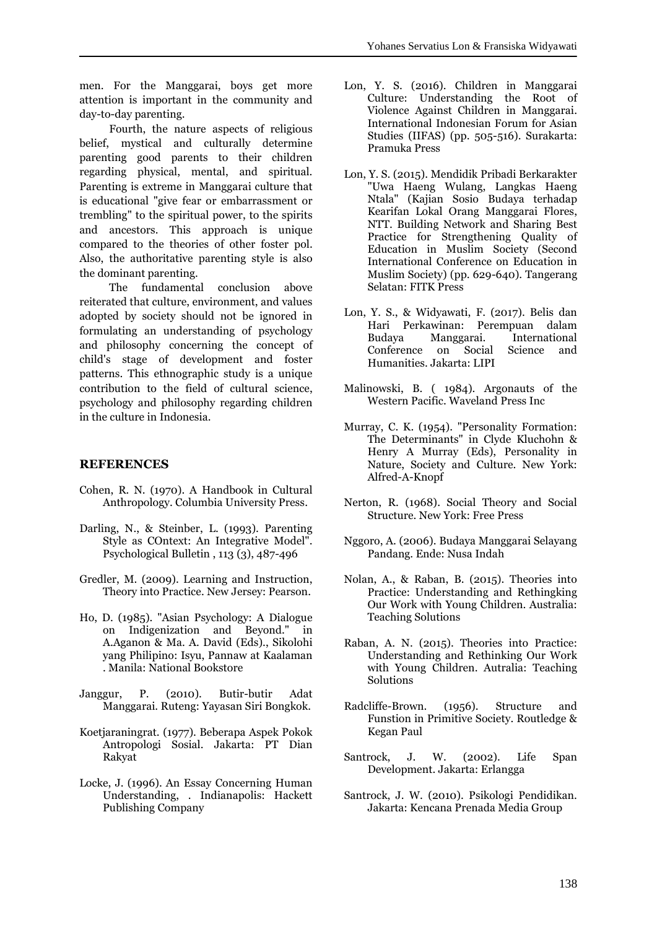men. For the Manggarai, boys get more attention is important in the community and day-to-day parenting.

Fourth, the nature aspects of religious belief, mystical and culturally determine parenting good parents to their children regarding physical, mental, and spiritual. Parenting is extreme in Manggarai culture that is educational "give fear or embarrassment or trembling" to the spiritual power, to the spirits and ancestors. This approach is unique compared to the theories of other foster pol. Also, the authoritative parenting style is also the dominant parenting.

The fundamental conclusion above reiterated that culture, environment, and values adopted by society should not be ignored in formulating an understanding of psychology and philosophy concerning the concept of child's stage of development and foster patterns. This ethnographic study is a unique contribution to the field of cultural science, psychology and philosophy regarding children in the culture in Indonesia.

#### **REFERENCES**

- Cohen, R. N. (1970). A Handbook in Cultural Anthropology. Columbia University Press.
- Darling, N., & Steinber, L. (1993). Parenting Style as COntext: An Integrative Model". Psychological Bulletin , 113 (3), 487-496
- Gredler, M. (2009). Learning and Instruction, Theory into Practice. New Jersey: Pearson.
- Ho, D. (1985). "Asian Psychology: A Dialogue on Indigenization and Beyond." in A.Aganon & Ma. A. David (Eds)., Sikolohi yang Philipino: Isyu, Pannaw at Kaalaman . Manila: National Bookstore
- Janggur, P. (2010). Butir-butir Adat Manggarai. Ruteng: Yayasan Siri Bongkok.
- Koetjaraningrat. (1977). Beberapa Aspek Pokok Antropologi Sosial. Jakarta: PT Dian Rakyat
- Locke, J. (1996). An Essay Concerning Human Understanding, . Indianapolis: Hackett Publishing Company
- Lon, Y. S. (2016). Children in Manggarai Culture: Understanding the Root of Violence Against Children in Manggarai. International Indonesian Forum for Asian Studies (IIFAS) (pp. 505-516). Surakarta: Pramuka Press
- Lon, Y. S. (2015). Mendidik Pribadi Berkarakter "Uwa Haeng Wulang, Langkas Haeng Ntala" (Kajian Sosio Budaya terhadap Kearifan Lokal Orang Manggarai Flores, NTT. Building Network and Sharing Best Practice for Strengthening Quality of Education in Muslim Society (Second International Conference on Education in Muslim Society) (pp. 629-640). Tangerang Selatan: FITK Press
- Lon, Y. S., & Widyawati, F. (2017). Belis dan Hari Perkawinan: Perempuan dalam Budaya Manggarai. International Conference on Social Science and Humanities. Jakarta: LIPI
- Malinowski, B. ( 1984). Argonauts of the Western Pacific. Waveland Press Inc
- Murray, C. K. (1954). "Personality Formation: The Determinants" in Clyde Kluchohn & Henry A Murray (Eds), Personality in Nature, Society and Culture. New York: Alfred-A-Knopf
- Nerton, R. (1968). Social Theory and Social Structure. New York: Free Press
- Nggoro, A. (2006). Budaya Manggarai Selayang Pandang. Ende: Nusa Indah
- Nolan, A., & Raban, B. (2015). Theories into Practice: Understanding and Rethingking Our Work with Young Children. Australia: Teaching Solutions
- Raban, A. N. (2015). Theories into Practice: Understanding and Rethinking Our Work with Young Children. Autralia: Teaching Solutions
- Radcliffe-Brown. (1956). Structure and Funstion in Primitive Society. Routledge & Kegan Paul
- Santrock, J. W. (2002). Life Span Development. Jakarta: Erlangga
- Santrock, J. W. (2010). Psikologi Pendidikan. Jakarta: Kencana Prenada Media Group